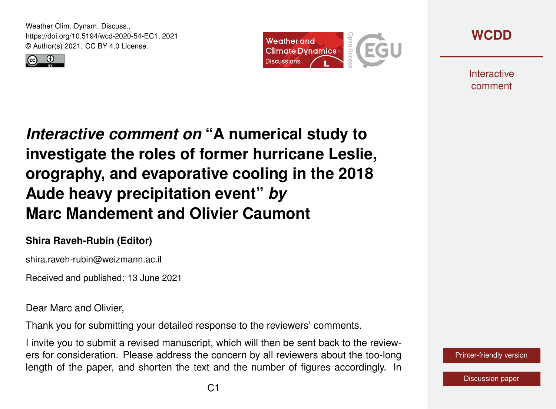Weather Clim. Dynam. Discuss., https://doi.org/10.5194/wcd-2020-54-EC1, 2021 © Author(s) 2021. CC BY 4.0 License.







**Interactive** comment

*Interactive comment on* **"A numerical study to investigate the roles of former hurricane Leslie, orography, and evaporative cooling in the 2018 Aude heavy precipitation event"** *by* **Marc Mandement and Olivier Caumont**

## **Shira Raveh-Rubin (Editor)**

shira.raveh-rubin@weizmann.ac.il

Received and published: 13 June 2021

Dear Marc and Olivier,

Thank you for submitting your detailed response to the reviewers' comments.

I invite you to submit a revised manuscript, which will then be sent back to the reviewers for consideration. Please address the concern by all reviewers about the too-long length of the paper, and shorten the text and the number of figures accordingly. In

[Printer-friendly version](https://wcd.copernicus.org/preprints/wcd-2020-54/wcd-2020-54-EC1-print.pdf)

[Discussion paper](https://wcd.copernicus.org/preprints/wcd-2020-54)